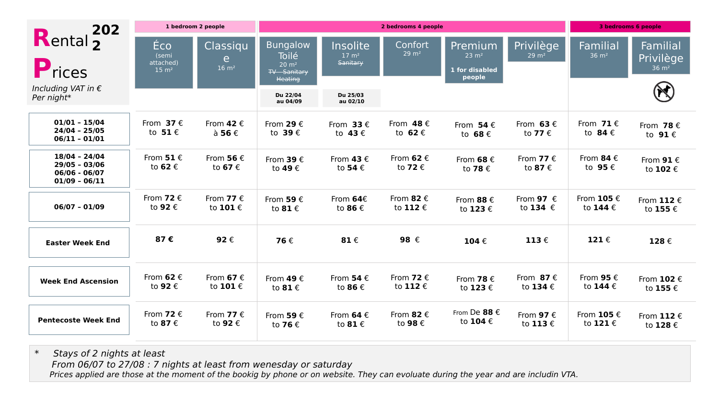| 202<br>Rental <sub>2</sub><br>Prices<br>Including VAT in $\epsilon$<br>Per night* | 1 bedroom 2 people                            |                                       | 2 bedrooms 4 people                                                                    |                                            |                                       |                                                         |                                | 3 bedrooms 6 people                            |                                           |
|-----------------------------------------------------------------------------------|-----------------------------------------------|---------------------------------------|----------------------------------------------------------------------------------------|--------------------------------------------|---------------------------------------|---------------------------------------------------------|--------------------------------|------------------------------------------------|-------------------------------------------|
|                                                                                   | Éco<br>(semi<br>attached)<br>$15 \text{ m}^2$ | Classiqu<br>e.<br>$16 \text{ m}^2$    | <b>Bungalow</b><br>Toilé<br>$20 \text{ m}^2$<br><b>TV</b> - Sanitary<br><b>Heating</b> | Insolite<br>$17 \text{ m}^2$<br>Sanitary   | Confort<br>$29 \text{ m}^2$           | Premium<br>$23 \text{ m}^2$<br>1 for disabled<br>people | Privilège<br>$29 \text{ m}^2$  | Familial<br>$36 \text{ m}^2$                   | Familial<br>Privilège<br>$36 \text{ m}^2$ |
|                                                                                   |                                               |                                       | Du 22/04<br>au 04/09                                                                   | Du 25/03<br>au 02/10                       |                                       |                                                         |                                |                                                |                                           |
| $01/01 - 15/04$<br>$24/04 - 25/05$<br>$06/11 - 01/01$                             | From $37 \in$<br>to $51 \text{ } \in$         | From 42 $\epsilon$<br>à 56 $\epsilon$ | From 29 $\epsilon$<br>to 39 $\epsilon$                                                 | From $33 \in$<br>to $43 \in$               | From $48 \text{ } \in$<br>to $62 \in$ | From $54 \in$<br>to $68 \text{ } \in$                   | From 63 $\epsilon$<br>to 77 €  | From $71 \text{ } \in$<br>to $84 \text{ } \in$ | From 78 $\epsilon$<br>to $91 \in$         |
| $18/04 - 24/04$<br>$29/05 - 03/06$<br>$06/06 - 06/07$<br>$01/09 - 06/11$          | From $51 \text{ E}$<br>to <b>62</b> €         | From 56 $\epsilon$<br>to 67 €         | From 39 $\epsilon$<br>to 49 €                                                          | From $43 \in$<br>to 54 €                   | From 62 $\epsilon$<br>to 72 €         | From 68 $\epsilon$<br>to <b>78</b> €                    | From 77 $\epsilon$<br>to 87 €  | From 84 $\epsilon$<br>to 95 €                  | From $91 \in$<br>to 102 €                 |
| $06/07 - 01/09$                                                                   | From 72 $\epsilon$<br>to 92 €                 | From 77 $\epsilon$<br>to 101€         | From 59 $\epsilon$<br>to $81 \text{ } \in$                                             | From $64E$<br>to 86 €                      | From 82 $\epsilon$<br>to 112 €        | From 88 $\epsilon$<br>to 123 €                          | From 97 $\epsilon$<br>to 134 € | From $105 \in$<br>to 144 €                     | From 112 $\epsilon$<br>to 155 €           |
| <b>Easter Week End</b>                                                            | 87€                                           | 92€                                   | 76€                                                                                    | 81 $\epsilon$                              | 98 €                                  | 104 $\epsilon$                                          | 113 $\epsilon$                 | 121 $\epsilon$                                 | 128€                                      |
| <b>Week End Ascension</b>                                                         | From 62 $\epsilon$<br>to 92 €                 | From 67 $\epsilon$<br>to 101 €        | From 49 $\epsilon$<br>to $81 \text{ } \in$                                             | From 54 $\epsilon$<br>to 86 €              | From 72 $\epsilon$<br>to 112 €        | From 78 $\epsilon$<br>to 123 €                          | From 87 $\epsilon$<br>to 134 € | From 95 $\epsilon$<br>to 144 €                 | From $102 \text{ } \in$<br>to 155 €       |
| <b>Pentecoste Week End</b>                                                        | From 72 $\epsilon$<br>to 87 €                 | From 77 $\epsilon$<br>to 92 €         | From 59 $\epsilon$<br>to 76 €                                                          | From 64 $\epsilon$<br>to $81 \text{ } \in$ | From 82 $\epsilon$<br>to 98 €         | From De 88 €<br>to 104 €                                | From 97 $\epsilon$<br>to 113 € | From $105 \in$<br>to 121 €                     | From $112 \in$<br>to 128 €                |

\* Stays of 2 nights at least From 06/07 to 27/08 : 7 nights at least from wenesday or saturday Prices applied are those at the moment of the bookig by phone or on website. They can evoluate during the year and are includin VTA.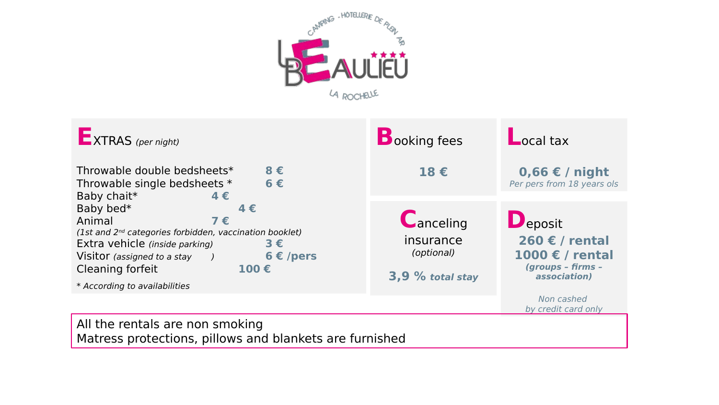



All the rentals are non smoking Matress protections, pillows and blankets are furnished